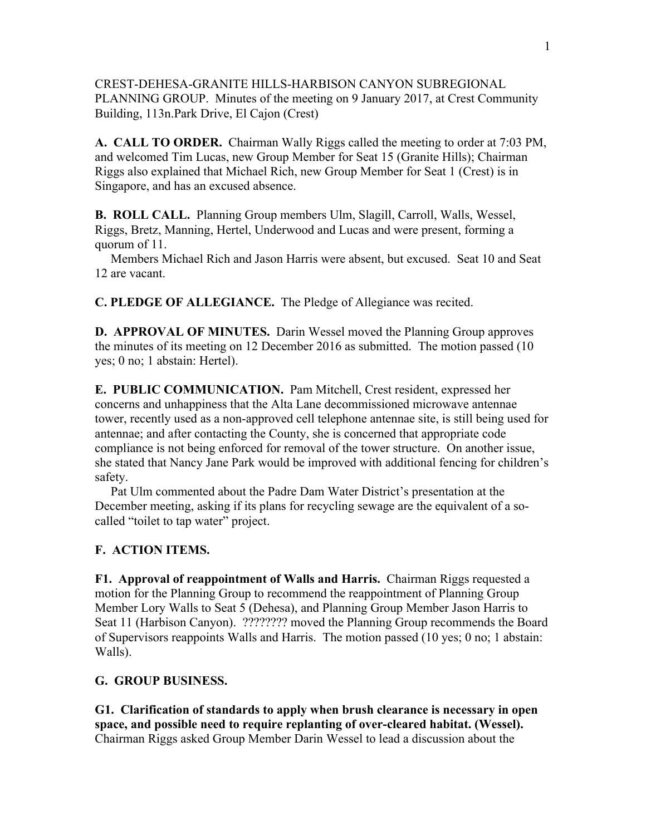CREST-DEHESA-GRANITE HILLS-HARBISON CANYON SUBREGIONAL PLANNING GROUP. Minutes of the meeting on 9 January 2017, at Crest Community Building, 113n.Park Drive, El Cajon (Crest)

**A. CALL TO ORDER.** Chairman Wally Riggs called the meeting to order at 7:03 PM, and welcomed Tim Lucas, new Group Member for Seat 15 (Granite Hills); Chairman Riggs also explained that Michael Rich, new Group Member for Seat 1 (Crest) is in Singapore, and has an excused absence.

**B. ROLL CALL.** Planning Group members Ulm, Slagill, Carroll, Walls, Wessel, Riggs, Bretz, Manning, Hertel, Underwood and Lucas and were present, forming a quorum of 11.

 Members Michael Rich and Jason Harris were absent, but excused. Seat 10 and Seat 12 are vacant.

**C. PLEDGE OF ALLEGIANCE.** The Pledge of Allegiance was recited.

**D. APPROVAL OF MINUTES.** Darin Wessel moved the Planning Group approves the minutes of its meeting on 12 December 2016 as submitted. The motion passed (10 yes; 0 no; 1 abstain: Hertel).

**E. PUBLIC COMMUNICATION.** Pam Mitchell, Crest resident, expressed her concerns and unhappiness that the Alta Lane decommissioned microwave antennae tower, recently used as a non-approved cell telephone antennae site, is still being used for antennae; and after contacting the County, she is concerned that appropriate code compliance is not being enforced for removal of the tower structure. On another issue, she stated that Nancy Jane Park would be improved with additional fencing for children's safety.

 Pat Ulm commented about the Padre Dam Water District's presentation at the December meeting, asking if its plans for recycling sewage are the equivalent of a socalled "toilet to tap water" project.

## **F. ACTION ITEMS.**

**F1. Approval of reappointment of Walls and Harris.** Chairman Riggs requested a motion for the Planning Group to recommend the reappointment of Planning Group Member Lory Walls to Seat 5 (Dehesa), and Planning Group Member Jason Harris to Seat 11 (Harbison Canyon). ???????? moved the Planning Group recommends the Board of Supervisors reappoints Walls and Harris. The motion passed (10 yes; 0 no; 1 abstain: Walls).

## **G. GROUP BUSINESS.**

**G1. Clarification of standards to apply when brush clearance is necessary in open space, and possible need to require replanting of over-cleared habitat. (Wessel).** Chairman Riggs asked Group Member Darin Wessel to lead a discussion about the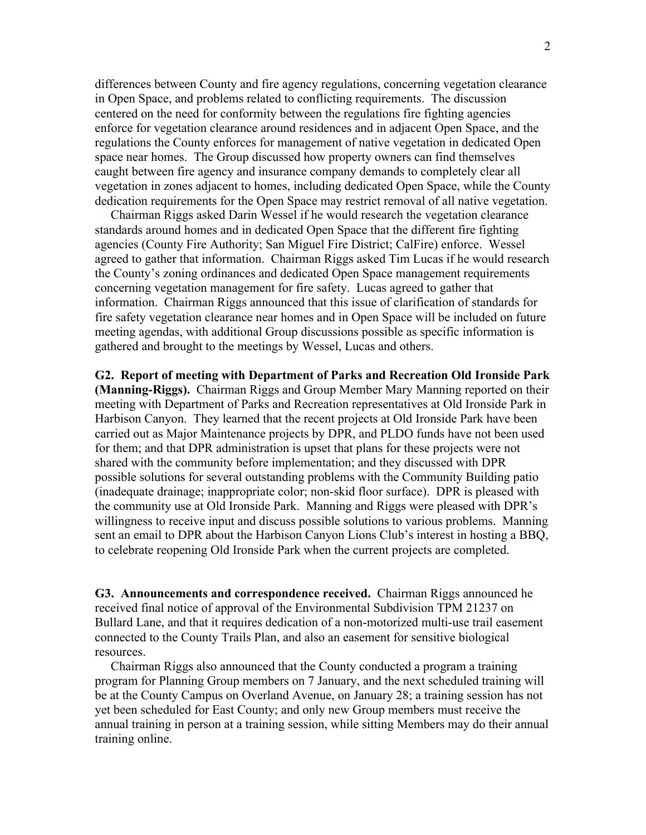differences between County and fire agency regulations, concerning vegetation clearance in Open Space, and problems related to conflicting requirements. The discussion centered on the need for conformity between the regulations fire fighting agencies enforce for vegetation clearance around residences and in adjacent Open Space, and the regulations the County enforces for management of native vegetation in dedicated Open space near homes. The Group discussed how property owners can find themselves caught between fire agency and insurance company demands to completely clear all vegetation in zones adjacent to homes, including dedicated Open Space, while the County dedication requirements for the Open Space may restrict removal of all native vegetation.

 Chairman Riggs asked Darin Wessel if he would research the vegetation clearance standards around homes and in dedicated Open Space that the different fire fighting agencies (County Fire Authority; San Miguel Fire District; CalFire) enforce. Wessel agreed to gather that information. Chairman Riggs asked Tim Lucas if he would research the County's zoning ordinances and dedicated Open Space management requirements concerning vegetation management for fire safety. Lucas agreed to gather that information. Chairman Riggs announced that this issue of clarification of standards for fire safety vegetation clearance near homes and in Open Space will be included on future meeting agendas, with additional Group discussions possible as specific information is gathered and brought to the meetings by Wessel, Lucas and others.

**G2. Report of meeting with Department of Parks and Recreation Old Ironside Park (Manning-Riggs).** Chairman Riggs and Group Member Mary Manning reported on their meeting with Department of Parks and Recreation representatives at Old Ironside Park in Harbison Canyon. They learned that the recent projects at Old Ironside Park have been carried out as Major Maintenance projects by DPR, and PLDO funds have not been used for them; and that DPR administration is upset that plans for these projects were not shared with the community before implementation; and they discussed with DPR possible solutions for several outstanding problems with the Community Building patio (inadequate drainage; inappropriate color; non-skid floor surface). DPR is pleased with the community use at Old Ironside Park. Manning and Riggs were pleased with DPR's willingness to receive input and discuss possible solutions to various problems. Manning sent an email to DPR about the Harbison Canyon Lions Club's interest in hosting a BBQ, to celebrate reopening Old Ironside Park when the current projects are completed.

**G3. Announcements and correspondence received.** Chairman Riggs announced he received final notice of approval of the Environmental Subdivision TPM 21237 on Bullard Lane, and that it requires dedication of a non-motorized multi-use trail easement connected to the County Trails Plan, and also an easement for sensitive biological resources.

 Chairman Riggs also announced that the County conducted a program a training program for Planning Group members on 7 January, and the next scheduled training will be at the County Campus on Overland Avenue, on January 28; a training session has not yet been scheduled for East County; and only new Group members must receive the annual training in person at a training session, while sitting Members may do their annual training online.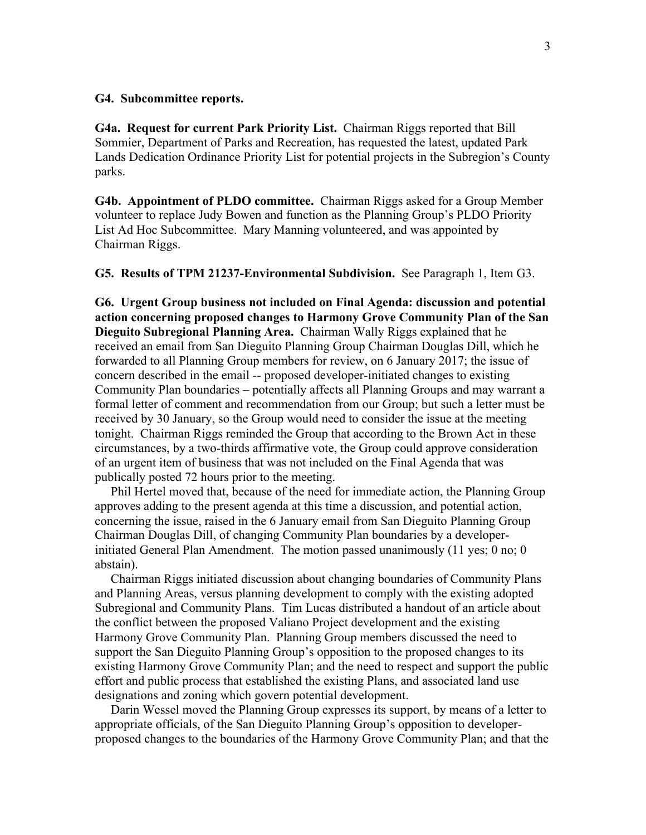## **G4. Subcommittee reports.**

**G4a. Request for current Park Priority List.** Chairman Riggs reported that Bill Sommier, Department of Parks and Recreation, has requested the latest, updated Park Lands Dedication Ordinance Priority List for potential projects in the Subregion's County parks.

**G4b. Appointment of PLDO committee.** Chairman Riggs asked for a Group Member volunteer to replace Judy Bowen and function as the Planning Group's PLDO Priority List Ad Hoc Subcommittee. Mary Manning volunteered, and was appointed by Chairman Riggs.

**G5. Results of TPM 21237-Environmental Subdivision.** See Paragraph 1, Item G3.

**G6. Urgent Group business not included on Final Agenda: discussion and potential action concerning proposed changes to Harmony Grove Community Plan of the San Dieguito Subregional Planning Area.** Chairman Wally Riggs explained that he received an email from San Dieguito Planning Group Chairman Douglas Dill, which he forwarded to all Planning Group members for review, on 6 January 2017; the issue of concern described in the email -- proposed developer-initiated changes to existing Community Plan boundaries – potentially affects all Planning Groups and may warrant a formal letter of comment and recommendation from our Group; but such a letter must be received by 30 January, so the Group would need to consider the issue at the meeting tonight. Chairman Riggs reminded the Group that according to the Brown Act in these circumstances, by a two-thirds affirmative vote, the Group could approve consideration of an urgent item of business that was not included on the Final Agenda that was publically posted 72 hours prior to the meeting.

 Phil Hertel moved that, because of the need for immediate action, the Planning Group approves adding to the present agenda at this time a discussion, and potential action, concerning the issue, raised in the 6 January email from San Dieguito Planning Group Chairman Douglas Dill, of changing Community Plan boundaries by a developerinitiated General Plan Amendment. The motion passed unanimously (11 yes; 0 no; 0 abstain).

 Chairman Riggs initiated discussion about changing boundaries of Community Plans and Planning Areas, versus planning development to comply with the existing adopted Subregional and Community Plans. Tim Lucas distributed a handout of an article about the conflict between the proposed Valiano Project development and the existing Harmony Grove Community Plan. Planning Group members discussed the need to support the San Dieguito Planning Group's opposition to the proposed changes to its existing Harmony Grove Community Plan; and the need to respect and support the public effort and public process that established the existing Plans, and associated land use designations and zoning which govern potential development.

 Darin Wessel moved the Planning Group expresses its support, by means of a letter to appropriate officials, of the San Dieguito Planning Group's opposition to developerproposed changes to the boundaries of the Harmony Grove Community Plan; and that the